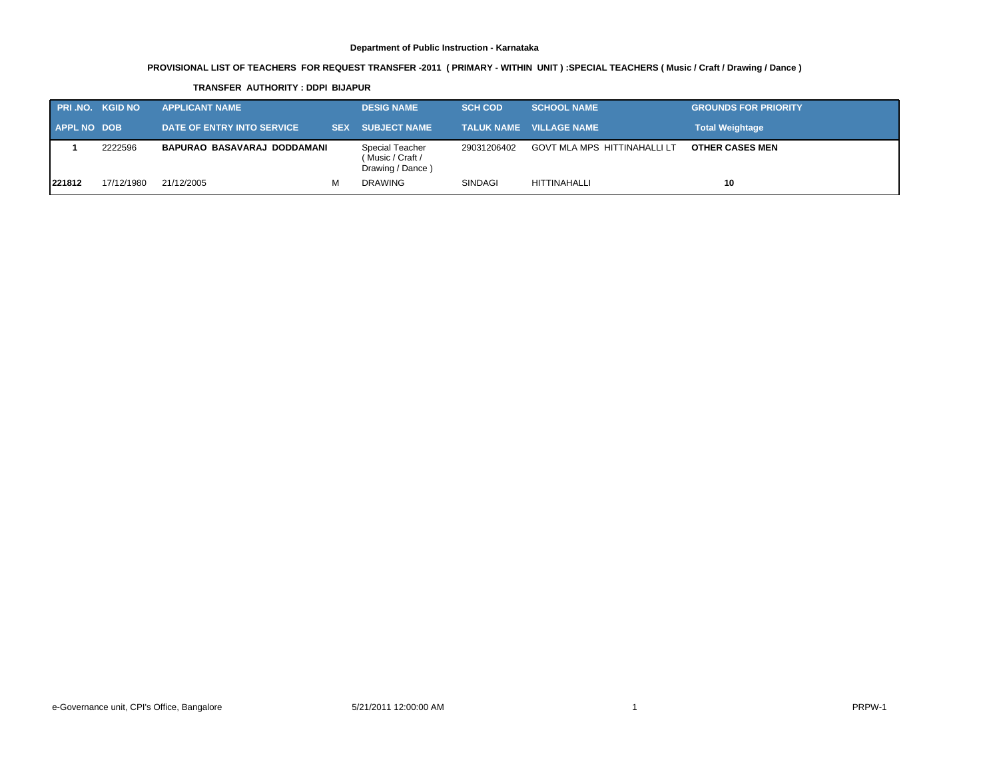# **PROVISIONAL LIST OF TEACHERS FOR REQUEST TRANSFER -2011 ( PRIMARY - WITHIN UNIT ) :SPECIAL TEACHERS ( Music / Craft / Drawing / Dance )**

#### **TRANSFER AUTHORITY : DDPI BIJAPUR**

|                    | <b>PRI.NO. KGID NO</b> | <b>APPLICANT NAME</b>       | <b>DESIG NAME</b>                                       | <b>SCH COD</b> | <b>SCHOOL NAME</b>             | <b>GROUNDS FOR PRIORITY</b> |
|--------------------|------------------------|-----------------------------|---------------------------------------------------------|----------------|--------------------------------|-----------------------------|
| <b>APPL NO DOB</b> |                        | DATE OF ENTRY INTO SERVICE  | SEX SUBJECT NAME                                        |                | <b>TALUK NAME VILLAGE NAME</b> | <b>Total Weightage</b>      |
|                    | 2222596                | BAPURAO BASAVARAJ DODDAMANI | Special Teacher<br>(Music / Craft /<br>Drawing / Dance) | 29031206402    | GOVT MLA MPS HITTINAHALLI LT   | <b>OTHER CASES MEN</b>      |
| 221812             | 17/12/1980             | 21/12/2005<br>м             | <b>DRAWING</b>                                          | <b>SINDAGI</b> | HITTINAHALLI                   | 10                          |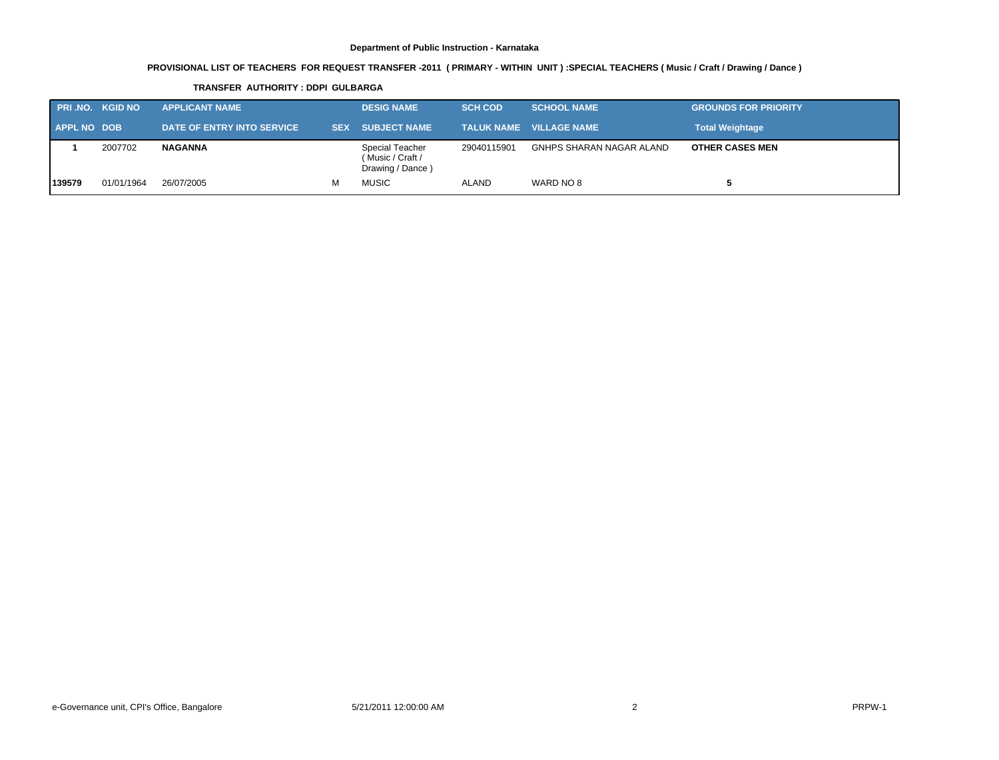# **PROVISIONAL LIST OF TEACHERS FOR REQUEST TRANSFER -2011 ( PRIMARY - WITHIN UNIT ) :SPECIAL TEACHERS ( Music / Craft / Drawing / Dance )**

#### **TRANSFER AUTHORITY : DDPI GULBARGA**

| <b>PRI.NO. KGID NO</b> |            | <b>APPLICANT NAME</b>      | <b>DESIG NAME</b>                                       | <b>SCH COD</b> | <b>SCHOOL NAME</b>             | <b>GROUNDS FOR PRIORITY</b> |
|------------------------|------------|----------------------------|---------------------------------------------------------|----------------|--------------------------------|-----------------------------|
| <b>APPL NO DOB</b>     |            | DATE OF ENTRY INTO SERVICE | <b>SEX SUBJECT NAME</b>                                 |                | <b>TALUK NAME VILLAGE NAME</b> | <b>Total Weightage</b>      |
|                        | 2007702    | <b>NAGANNA</b>             | Special Teacher<br>(Music / Craft /<br>Drawing / Dance) | 29040115901    | GNHPS SHARAN NAGAR ALAND       | <b>OTHER CASES MEN</b>      |
| 139579                 | 01/01/1964 | 26/07/2005                 | <b>MUSIC</b>                                            | <b>ALAND</b>   | WARD NO 8                      |                             |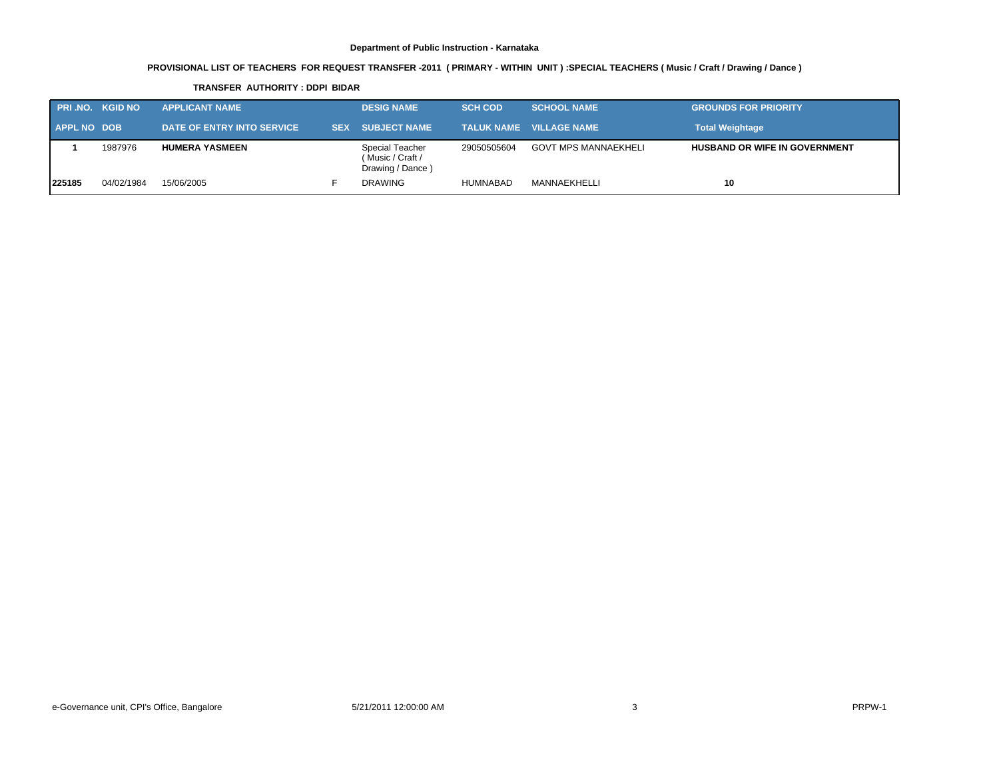# **PROVISIONAL LIST OF TEACHERS FOR REQUEST TRANSFER -2011 ( PRIMARY - WITHIN UNIT ) :SPECIAL TEACHERS ( Music / Craft / Drawing / Dance )**

#### **TRANSFER AUTHORITY : DDPI BIDAR**

| <b>PRI.NO. KGID NO</b> |            | <b>APPLICANT NAME</b>             | <b>DESIG NAME</b>                                       | <b>SCH COD</b> | <b>SCHOOL NAME</b>             | <b>GROUNDS FOR PRIORITY</b>          |
|------------------------|------------|-----------------------------------|---------------------------------------------------------|----------------|--------------------------------|--------------------------------------|
| <b>APPL NO DOB</b>     |            | <b>DATE OF ENTRY INTO SERVICE</b> | <b>SEX SUBJECT NAME</b>                                 |                | <b>TALUK NAME VILLAGE NAME</b> | <b>Total Weightage</b>               |
|                        | 1987976    | <b>HUMERA YASMEEN</b>             | Special Teacher<br>(Music / Craft /<br>Drawing / Dance) | 29050505604    | <b>GOVT MPS MANNAEKHELI</b>    | <b>HUSBAND OR WIFE IN GOVERNMENT</b> |
| 225185                 | 04/02/1984 | 15/06/2005                        | <b>DRAWING</b>                                          | HUMNABAD       | MANNAEKHELLI                   | 10                                   |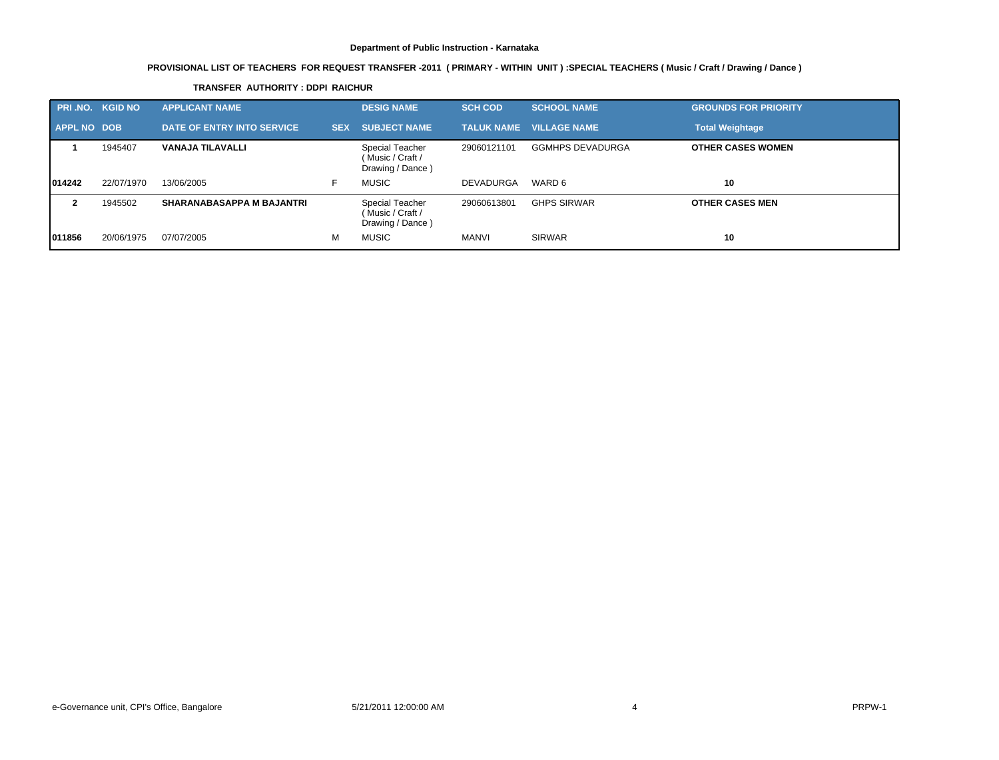# **PROVISIONAL LIST OF TEACHERS FOR REQUEST TRANSFER -2011 ( PRIMARY - WITHIN UNIT ) :SPECIAL TEACHERS ( Music / Craft / Drawing / Dance )**

| <b>PRI.NO. KGID NO</b> |            | <b>APPLICANT NAME</b>            |            | <b>DESIG NAME</b>                                       | <b>SCH COD</b>    | <b>SCHOOL NAME</b>      | <b>GROUNDS FOR PRIORITY</b> |
|------------------------|------------|----------------------------------|------------|---------------------------------------------------------|-------------------|-------------------------|-----------------------------|
| <b>APPL NO DOB</b>     |            | DATE OF ENTRY INTO SERVICE.      | <b>SEX</b> | <b>SUBJECT NAME</b>                                     | <b>TALUK NAME</b> | <b>VILLAGE NAME</b>     | <b>Total Weightage</b>      |
|                        | 1945407    | VANAJA TILAVALLI                 |            | Special Teacher<br>(Music / Craft /<br>Drawing / Dance) | 29060121101       | <b>GGMHPS DEVADURGA</b> | <b>OTHER CASES WOMEN</b>    |
| 014242                 | 22/07/1970 | 13/06/2005                       | F.         | <b>MUSIC</b>                                            | <b>DEVADURGA</b>  | WARD 6                  | 10                          |
| 2                      | 1945502    | <b>SHARANABASAPPA M BAJANTRI</b> |            | Special Teacher<br>(Music / Craft /<br>Drawing / Dance) | 29060613801       | <b>GHPS SIRWAR</b>      | <b>OTHER CASES MEN</b>      |
| 011856                 | 20/06/1975 | 07/07/2005                       | м          | <b>MUSIC</b>                                            | MANVI             | <b>SIRWAR</b>           | 10                          |

#### **TRANSFER AUTHORITY : DDPI RAICHUR**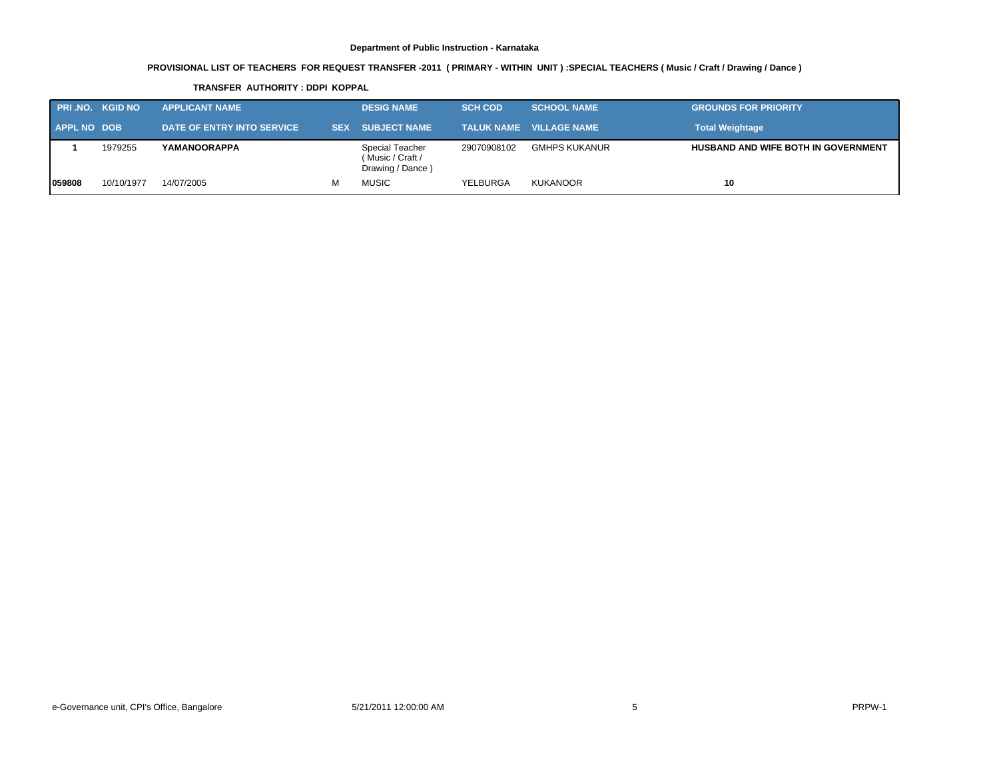# **PROVISIONAL LIST OF TEACHERS FOR REQUEST TRANSFER -2011 ( PRIMARY - WITHIN UNIT ) :SPECIAL TEACHERS ( Music / Craft / Drawing / Dance )**

#### **TRANSFER AUTHORITY : DDPI KOPPAL**

| <b>PRI.NO. KGID NO</b> |            | <b>APPLICANT NAME</b>      | <b>DESIG NAME</b>                                       | <b>SCH COD</b> | <b>SCHOOL NAME</b>                  | <b>GROUNDS FOR PRIORITY</b>                |
|------------------------|------------|----------------------------|---------------------------------------------------------|----------------|-------------------------------------|--------------------------------------------|
| <b>APPL NO DOB</b>     |            | DATE OF ENTRY INTO SERVICE | <b>SEX SUBJECT NAME</b>                                 |                | <b>TALUK NAME __ VILLAGE NAME *</b> | <b>Total Weightage</b>                     |
|                        | 1979255    | YAMANOORAPPA               | Special Teacher<br>(Music / Craft /<br>Drawing / Dance) | 29070908102    | GMHPS KUKANUR                       | <b>HUSBAND AND WIFE BOTH IN GOVERNMENT</b> |
| 1059808                | 10/10/1977 | 14/07/2005                 | <b>MUSIC</b>                                            | YELBURGA       | <b>KUKANOOR</b>                     | 10                                         |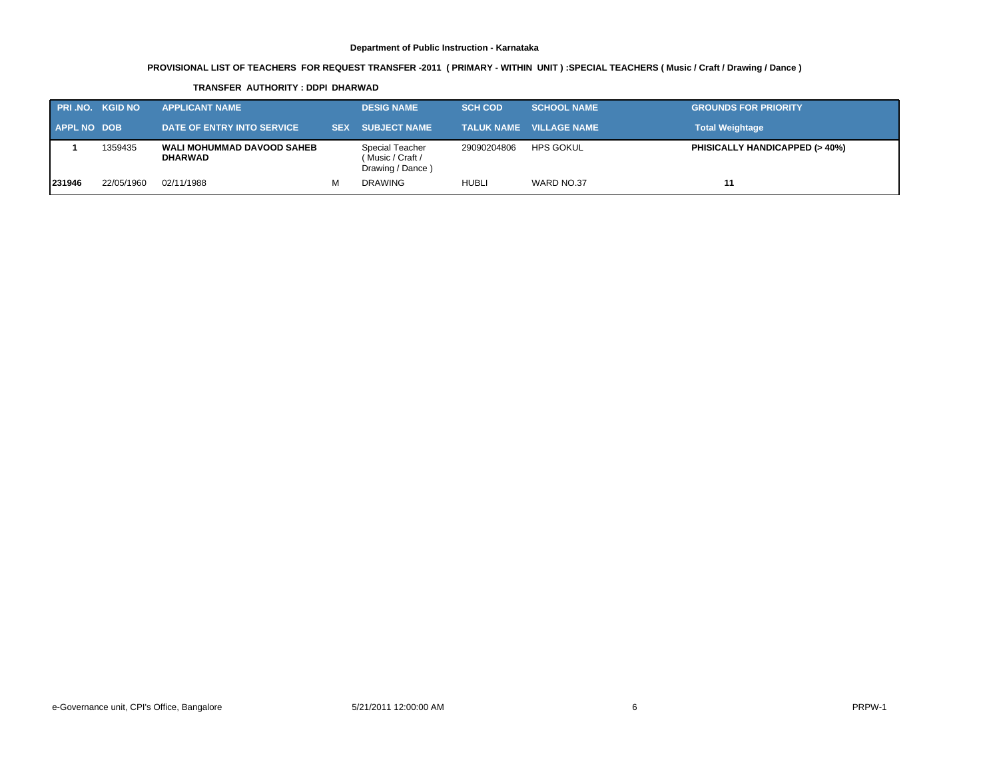# **PROVISIONAL LIST OF TEACHERS FOR REQUEST TRANSFER -2011 ( PRIMARY - WITHIN UNIT ) :SPECIAL TEACHERS ( Music / Craft / Drawing / Dance )**

#### **TRANSFER AUTHORITY : DDPI DHARWAD**

| <b>PRI.NO. KGID NO</b> |            | <b>APPLICANT NAME</b>                               |   | <b>DESIG NAME</b>                                       | <b>SCH COD</b> | <b>SCHOOL NAME</b>             | <b>GROUNDS FOR PRIORITY</b>              |
|------------------------|------------|-----------------------------------------------------|---|---------------------------------------------------------|----------------|--------------------------------|------------------------------------------|
| <b>APPL NO DOB</b>     |            | DATE OF ENTRY INTO SERVICE                          |   | <b>SEX SUBJECT NAME</b>                                 |                | <b>TALUK NAME VILLAGE NAME</b> | <b>Total Weightage</b>                   |
|                        | 1359435    | <b>WALI MOHUMMAD DAVOOD SAHEB</b><br><b>DHARWAD</b> |   | Special Teacher<br>(Music / Craft /<br>Drawing / Dance) | 29090204806    | HPS GOKUL                      | <b>PHISICALLY HANDICAPPED (&gt; 40%)</b> |
| 231946                 | 22/05/1960 | 02/11/1988                                          | М | <b>DRAWING</b>                                          | HUBLI          | WARD NO.37                     | 11                                       |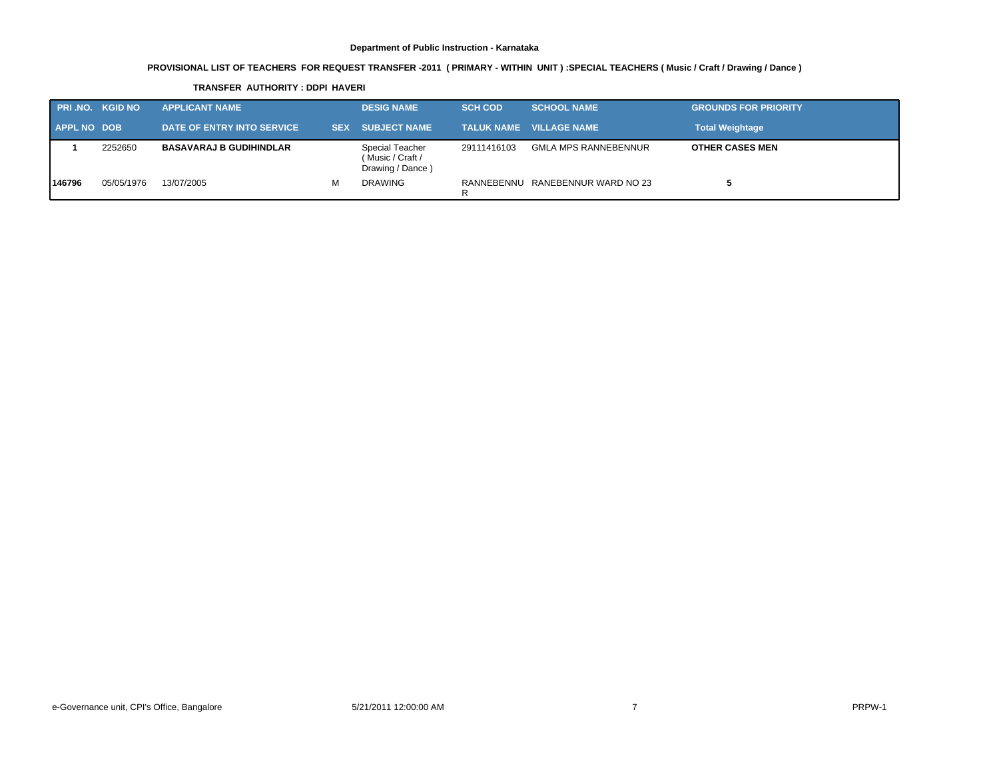# **PROVISIONAL LIST OF TEACHERS FOR REQUEST TRANSFER -2011 ( PRIMARY - WITHIN UNIT ) :SPECIAL TEACHERS ( Music / Craft / Drawing / Dance )**

#### **TRANSFER AUTHORITY : DDPI HAVERI**

| <b>PRI.NO. KGID NO</b> |            | <b>APPLICANT NAME</b>          |   | <b>DESIG NAME</b>                                       | <b>SCH COD</b>  | <b>SCHOOL NAME</b>             | <b>GROUNDS FOR PRIORITY</b> |
|------------------------|------------|--------------------------------|---|---------------------------------------------------------|-----------------|--------------------------------|-----------------------------|
| <b>APPL NO DOB</b>     |            | DATE OF ENTRY INTO SERVICE     |   | SEX SUBJECT NAME                                        |                 | <b>TALUK NAME VILLAGE NAME</b> | <b>Total Weightage</b>      |
|                        | 2252650    | <b>BASAVARAJ B GUDIHINDLAR</b> |   | Special Teacher<br>(Music / Craft /<br>Drawing / Dance) | 29111416103     | <b>GMLA MPS RANNEBENNUR</b>    | <b>OTHER CASES MEN</b>      |
| 146796                 | 05/05/1976 | 13/07/2005                     | м | <b>DRAWING</b>                                          | RANNEBENNU<br>R | RANEBENNUR WARD NO 23          |                             |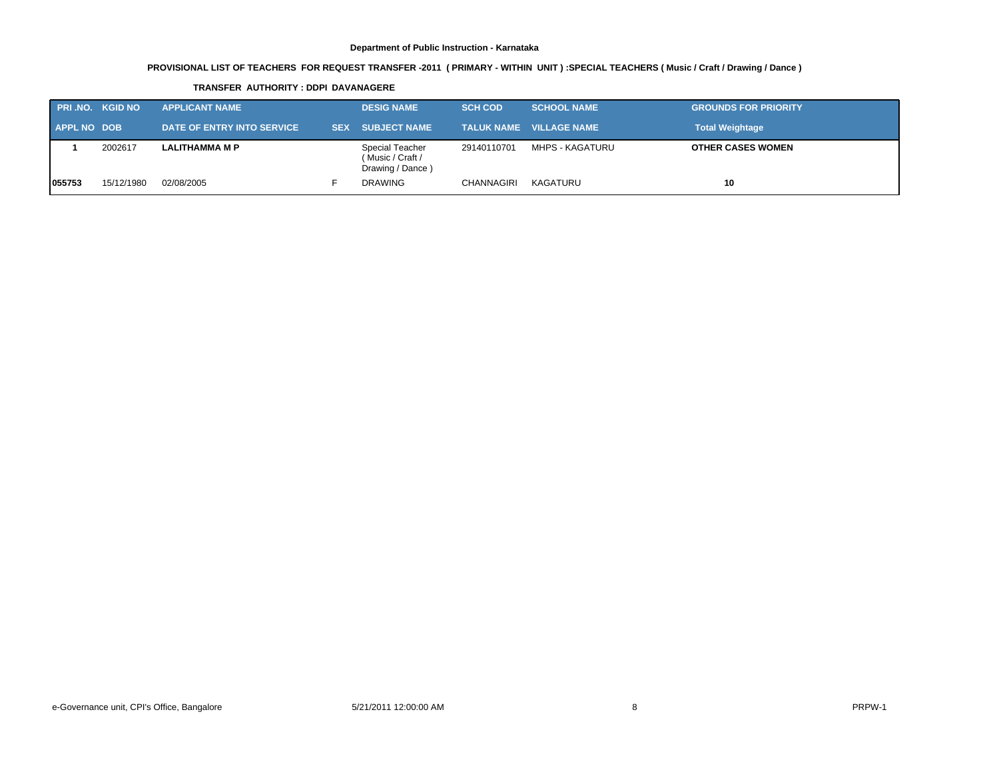# **PROVISIONAL LIST OF TEACHERS FOR REQUEST TRANSFER -2011 ( PRIMARY - WITHIN UNIT ) :SPECIAL TEACHERS ( Music / Craft / Drawing / Dance )**

#### **TRANSFER AUTHORITY : DDPI DAVANAGERE**

| <b>PRI.NO. KGID NO</b> |            | <b>APPLICANT NAME</b>      | <b>DESIG NAME</b>                                       | <b>SCH COD</b> | <b>SCHOOL NAME</b>             | <b>GROUNDS FOR PRIORITY</b> |
|------------------------|------------|----------------------------|---------------------------------------------------------|----------------|--------------------------------|-----------------------------|
| <b>APPL NO DOB</b>     |            | DATE OF ENTRY INTO SERVICE | <b>SEX SUBJECT NAME</b>                                 |                | <b>TALUK NAME VILLAGE NAME</b> | <b>Total Weightage</b>      |
|                        | 2002617    | <b>LALITHAMMA M P</b>      | Special Teacher<br>(Music / Craft /<br>Drawing / Dance) | 29140110701    | MHPS - KAGATURU                | <b>OTHER CASES WOMEN</b>    |
| 1055753                | 15/12/1980 | 02/08/2005                 | <b>DRAWING</b>                                          | CHANNAGIRI     | KAGATURU                       | 10                          |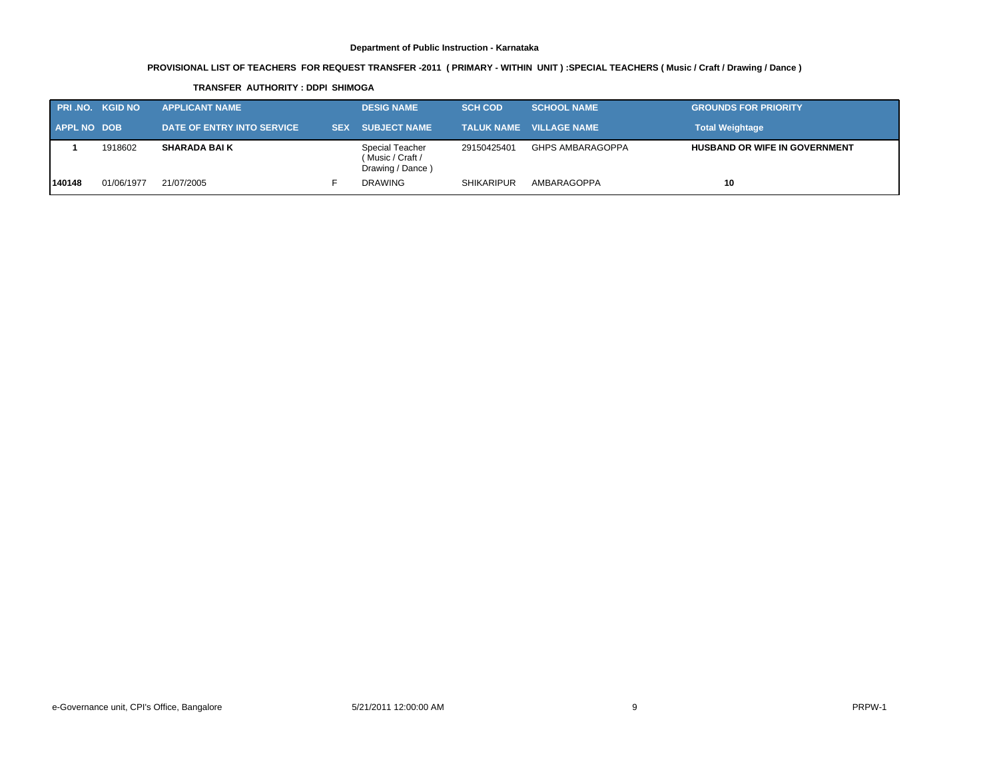# **PROVISIONAL LIST OF TEACHERS FOR REQUEST TRANSFER -2011 ( PRIMARY - WITHIN UNIT ) :SPECIAL TEACHERS ( Music / Craft / Drawing / Dance )**

#### **TRANSFER AUTHORITY : DDPI SHIMOGA**

| <b>PRI.NO. KGID NO</b> |            | <b>APPLICANT NAME</b>      | <b>DESIG NAME</b>                                       | <b>SCH COD</b>    | <b>SCHOOL NAME</b>             | <b>GROUNDS FOR PRIORITY</b>          |
|------------------------|------------|----------------------------|---------------------------------------------------------|-------------------|--------------------------------|--------------------------------------|
| APPL NO DOB            |            | DATE OF ENTRY INTO SERVICE | <b>ISEX SUBJECT NAME</b>                                |                   | <b>TALUK NAME VILLAGE NAME</b> | <b>Total Weightage</b>               |
|                        | 1918602    | <b>SHARADA BAI K</b>       | Special Teacher<br>(Music / Craft /<br>Drawing / Dance) | 29150425401       | <b>GHPS AMBARAGOPPA</b>        | <b>HUSBAND OR WIFE IN GOVERNMENT</b> |
| 140148                 | 01/06/1977 | 21/07/2005                 | <b>DRAWING</b>                                          | <b>SHIKARIPUR</b> | AMBARAGOPPA                    | 10                                   |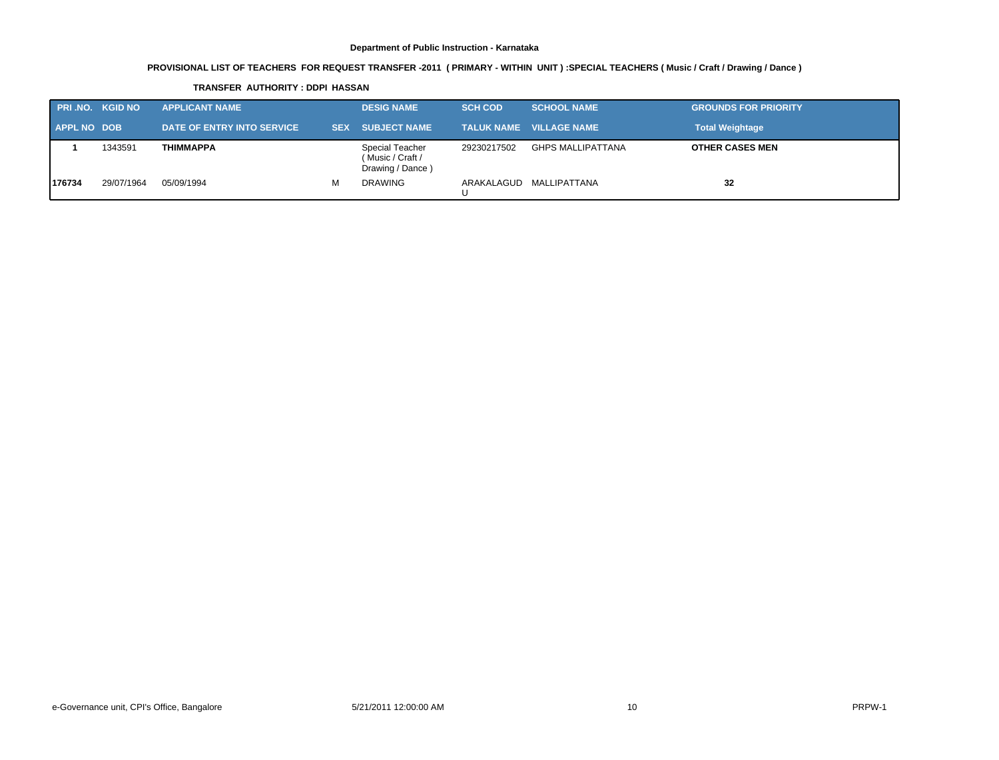# **PROVISIONAL LIST OF TEACHERS FOR REQUEST TRANSFER -2011 ( PRIMARY - WITHIN UNIT ) :SPECIAL TEACHERS ( Music / Craft / Drawing / Dance )**

#### **TRANSFER AUTHORITY : DDPI HASSAN**

| <b>PRI.NO. KGID NO</b> |            | <b>APPLICANT NAME</b>      |   | <b>DESIG NAME</b>                                       | <b>SCH COD</b> | <b>SCHOOL NAME</b>             | <b>GROUNDS FOR PRIORITY</b> |
|------------------------|------------|----------------------------|---|---------------------------------------------------------|----------------|--------------------------------|-----------------------------|
| <b>APPL NO DOB</b>     |            | DATE OF ENTRY INTO SERVICE |   | <b>SEX SUBJECT NAME</b>                                 |                | <b>TALUK NAME VILLAGE NAME</b> | <b>Total Weightage</b>      |
|                        | 1343591    | <b>THIMMAPPA</b>           |   | Special Teacher<br>(Music / Craft /<br>Drawing / Dance) | 29230217502    | GHPS MALLIPATTANA              | <b>OTHER CASES MEN</b>      |
| 176734                 | 29/07/1964 | 05/09/1994                 | м | <b>DRAWING</b>                                          | ARAKALAGUD     | MALLIPATTANA                   | 32                          |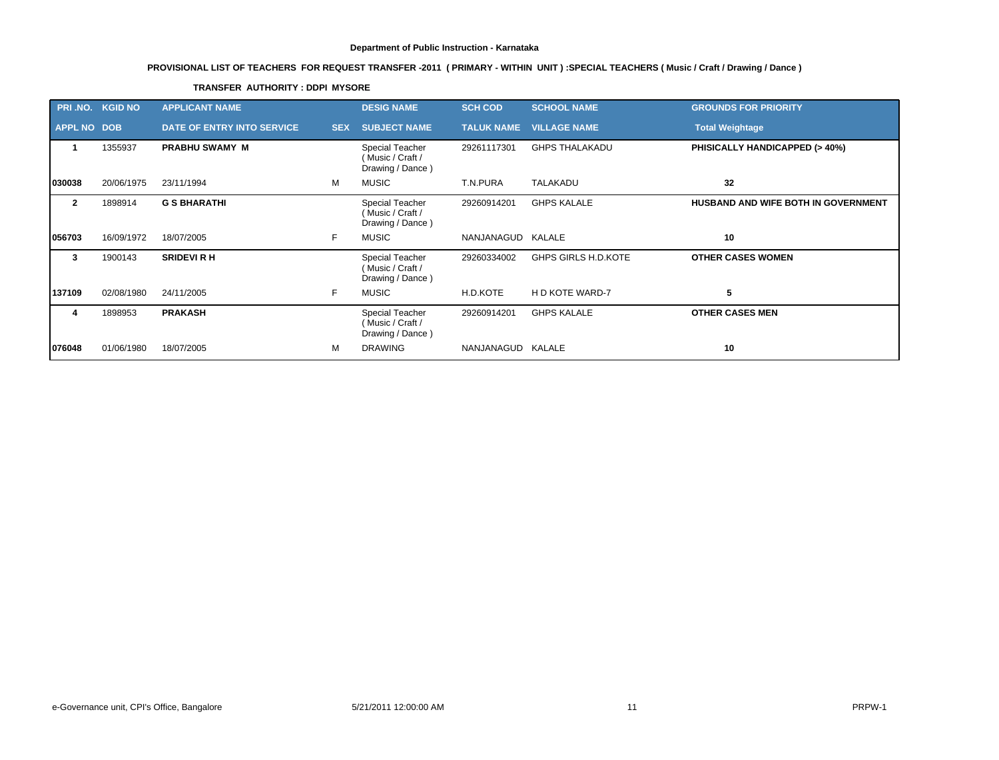# **PROVISIONAL LIST OF TEACHERS FOR REQUEST TRANSFER -2011 ( PRIMARY - WITHIN UNIT ) :SPECIAL TEACHERS ( Music / Craft / Drawing / Dance )**

### **TRANSFER AUTHORITY : DDPI MYSORE**

| PRI.NO. KGID NO    |            | <b>APPLICANT NAME</b>      |            | <b>DESIG NAME</b>                                       | <b>SCH COD</b>    | <b>SCHOOL NAME</b>         | <b>GROUNDS FOR PRIORITY</b>              |
|--------------------|------------|----------------------------|------------|---------------------------------------------------------|-------------------|----------------------------|------------------------------------------|
| <b>APPL NO DOB</b> |            | DATE OF ENTRY INTO SERVICE | <b>SEX</b> | <b>SUBJECT NAME</b>                                     | <b>TALUK NAME</b> | <b>VILLAGE NAME</b>        | <b>Total Weightage</b>                   |
|                    | 1355937    | <b>PRABHU SWAMY M</b>      |            | Special Teacher<br>(Music / Craft /<br>Drawing / Dance) | 29261117301       | <b>GHPS THALAKADU</b>      | <b>PHISICALLY HANDICAPPED (&gt; 40%)</b> |
| 030038             | 20/06/1975 | 23/11/1994                 | M          | <b>MUSIC</b>                                            | T.N.PURA          | <b>TALAKADU</b>            | 32                                       |
| $\mathbf{2}$       | 1898914    | <b>G S BHARATHI</b>        |            | Special Teacher<br>(Music / Craft /<br>Drawing / Dance) | 29260914201       | <b>GHPS KALALE</b>         | HUSBAND AND WIFE BOTH IN GOVERNMENT      |
| 056703             | 16/09/1972 | 18/07/2005                 | F.         | <b>MUSIC</b>                                            | NANJANAGUD KALALE |                            | 10                                       |
| 3                  | 1900143    | <b>SRIDEVI R H</b>         |            | Special Teacher<br>(Music / Craft /<br>Drawing / Dance) | 29260334002       | <b>GHPS GIRLS H.D.KOTE</b> | <b>OTHER CASES WOMEN</b>                 |
| 137109             | 02/08/1980 | 24/11/2005                 | F.         | <b>MUSIC</b>                                            | H.D.KOTE          | H D KOTE WARD-7            | 5                                        |
| 4                  | 1898953    | <b>PRAKASH</b>             |            | Special Teacher<br>(Music / Craft /<br>Drawing / Dance) | 29260914201       | <b>GHPS KALALE</b>         | <b>OTHER CASES MEN</b>                   |
| 076048             | 01/06/1980 | 18/07/2005                 | м          | <b>DRAWING</b>                                          | NANJANAGUD KALALE |                            | 10                                       |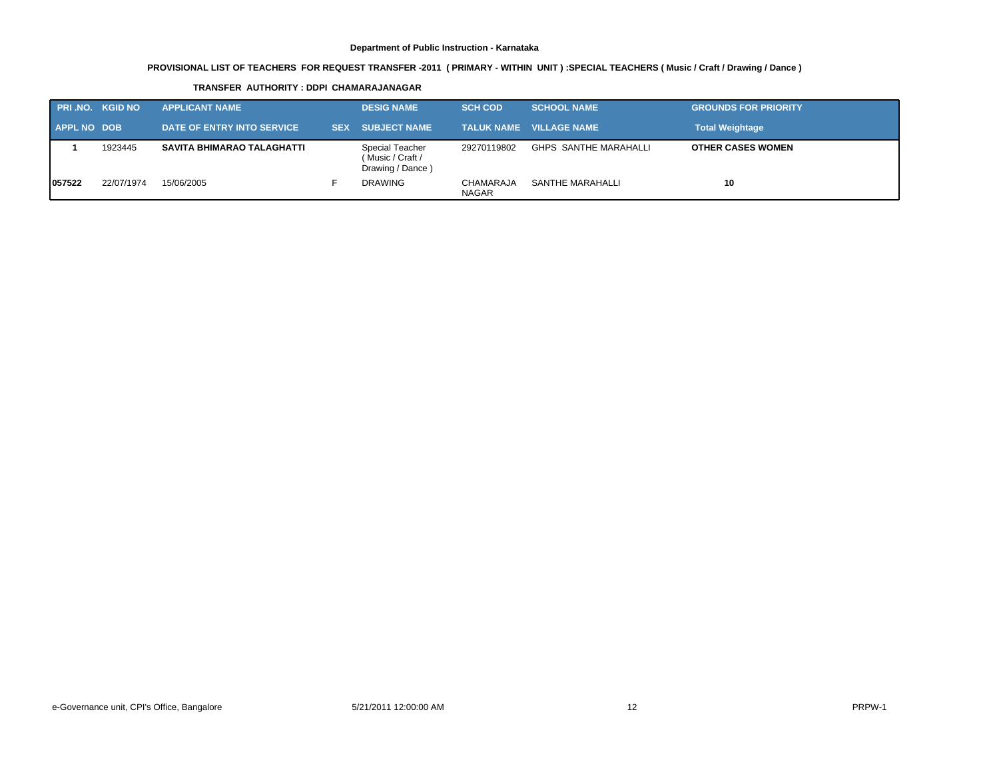# **PROVISIONAL LIST OF TEACHERS FOR REQUEST TRANSFER -2011 ( PRIMARY - WITHIN UNIT ) :SPECIAL TEACHERS ( Music / Craft / Drawing / Dance )**

#### **TRANSFER AUTHORITY : DDPI CHAMARAJANAGAR**

| <b>PRI.NO. KGID NO</b> |            | <b>APPLICANT NAME</b>             |            | <b>DESIG NAME</b>                                       | <b>SCH COD</b>            | <b>SCHOOL NAME</b>             | <b>GROUNDS FOR PRIORITY</b> |
|------------------------|------------|-----------------------------------|------------|---------------------------------------------------------|---------------------------|--------------------------------|-----------------------------|
| <b>APPL NO DOB</b>     |            | DATE OF ENTRY INTO SERVICE        | <b>SEX</b> | <b>SUBJECT NAME</b>                                     |                           | <b>TALUK NAME VILLAGE NAME</b> | <b>Total Weightage</b>      |
|                        | 1923445    | <b>SAVITA BHIMARAO TALAGHATTI</b> |            | Special Teacher<br>(Music / Craft /<br>Drawing / Dance) | 29270119802               | <b>GHPS SANTHE MARAHALLI</b>   | <b>OTHER CASES WOMEN</b>    |
| 057522                 | 22/07/1974 | 15/06/2005                        |            | <b>DRAWING</b>                                          | CHAMARAJA<br><b>NAGAR</b> | SANTHE MARAHALLI               | 10                          |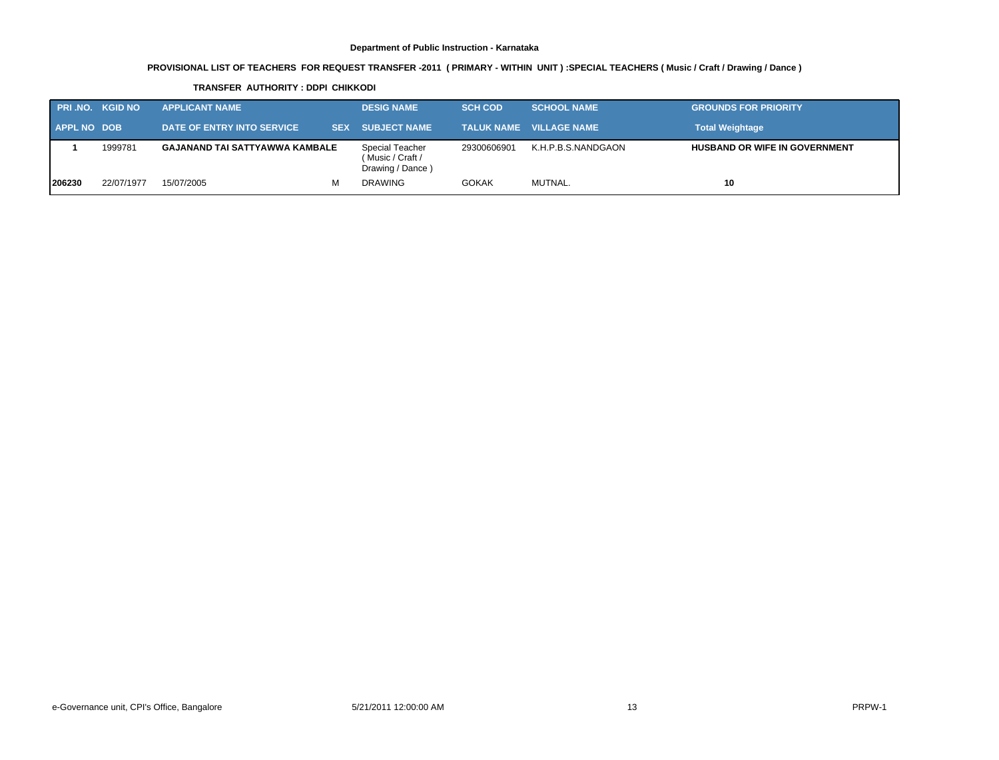# **PROVISIONAL LIST OF TEACHERS FOR REQUEST TRANSFER -2011 ( PRIMARY - WITHIN UNIT ) :SPECIAL TEACHERS ( Music / Craft / Drawing / Dance )**

#### **TRANSFER AUTHORITY : DDPI CHIKKODI**

| <b>PRI.NO. KGID NO</b> |            | <b>APPLICANT NAME</b>                 | <b>DESIG NAME</b>                                       | <b>SCH COD</b> | <b>SCHOOL NAME</b>             | <b>GROUNDS FOR PRIORITY</b>          |
|------------------------|------------|---------------------------------------|---------------------------------------------------------|----------------|--------------------------------|--------------------------------------|
| <b>APPL NO DOB</b>     |            | DATE OF ENTRY INTO SERVICE            | SEX SUBJECT NAME                                        |                | TALUK NAME     VILLAGE NAME  ' | <b>Total Weightage</b>               |
|                        | 1999781    | <b>GAJANAND TAI SATTYAWWA KAMBALE</b> | Special Teacher<br>(Music / Craft /<br>Drawing / Dance) | 29300606901    | K.H.P.B.S.NANDGAON             | <b>HUSBAND OR WIFE IN GOVERNMENT</b> |
| 206230                 | 22/07/1977 | 15/07/2005<br>м                       | <b>DRAWING</b>                                          | <b>GOKAK</b>   | MUTNAL.                        | 10                                   |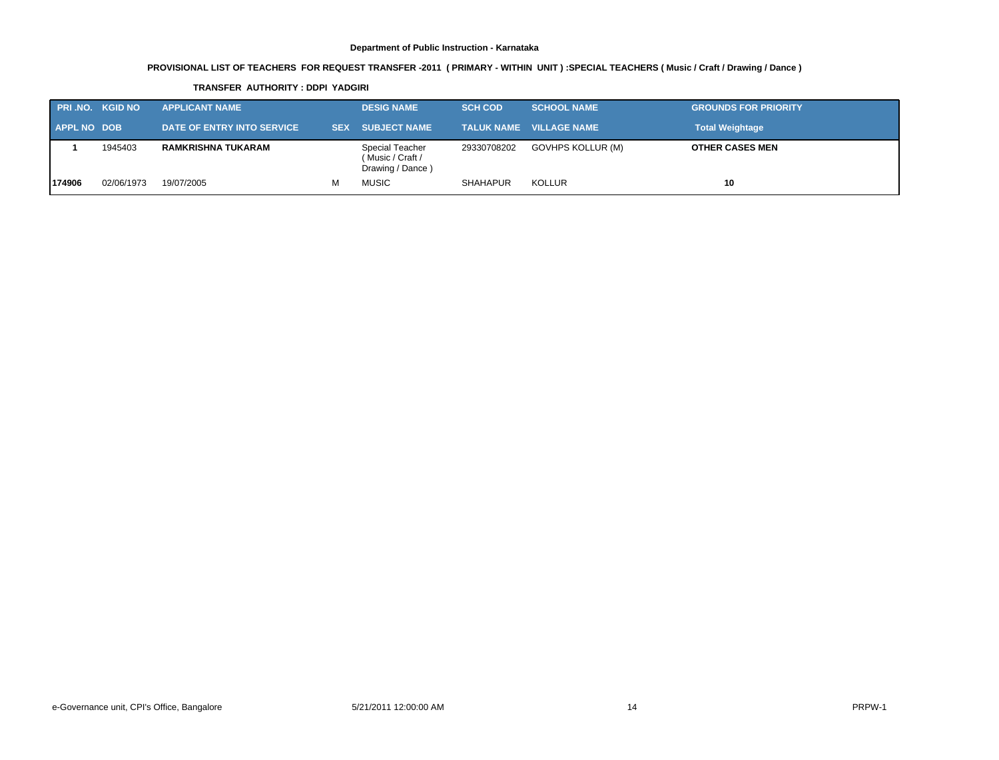# **PROVISIONAL LIST OF TEACHERS FOR REQUEST TRANSFER -2011 ( PRIMARY - WITHIN UNIT ) :SPECIAL TEACHERS ( Music / Craft / Drawing / Dance )**

#### **TRANSFER AUTHORITY : DDPI YADGIRI**

| <b>PRI.NO. KGID NO</b> |            | <b>APPLICANT NAME</b>      |   | <b>DESIG NAME</b>                                       | <b>SCH COD</b> | <b>SCHOOL NAME</b>             | <b>GROUNDS FOR PRIORITY</b> |
|------------------------|------------|----------------------------|---|---------------------------------------------------------|----------------|--------------------------------|-----------------------------|
| <b>APPL NO DOB</b>     |            | DATE OF ENTRY INTO SERVICE |   | <b>SEX SUBJECT NAME</b>                                 |                | <b>TALUK NAME VILLAGE NAME</b> | <b>Total Weightage</b>      |
|                        | 1945403    | RAMKRISHNA TUKARAM         |   | Special Teacher<br>(Music / Craft /<br>Drawing / Dance) | 29330708202    | GOVHPS KOLLUR (M)              | <b>OTHER CASES MEN</b>      |
| 174906                 | 02/06/1973 | 19/07/2005                 | м | <b>MUSIC</b>                                            | SHAHAPUR       | <b>KOLLUR</b>                  | 10                          |